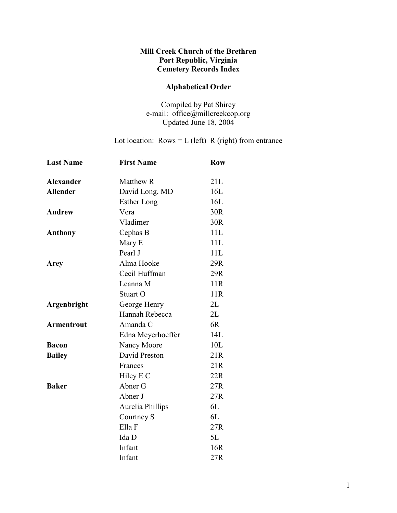## Mill Creek Church of the Brethren Port Republic, Virginia Cemetery Records Index

## Alphabetical Order

Compiled by Pat Shirey e-mail: office@millcreekcop.org Updated June 18, 2004

Lot location:  $Rows = L$  (left) R (right) from entrance

| <b>Last Name</b>  | <b>First Name</b>  | <b>Row</b> |  |
|-------------------|--------------------|------------|--|
| <b>Alexander</b>  | Matthew R          | 21L        |  |
| <b>Allender</b>   | David Long, MD     | 16L        |  |
|                   | <b>Esther Long</b> | 16L        |  |
| <b>Andrew</b>     | Vera               | 30R        |  |
|                   | Vladimer           | 30R        |  |
| Anthony           | Cephas B           | 11L        |  |
|                   | Mary E             | 11L        |  |
|                   | Pearl J            | 11L        |  |
| <b>Arey</b>       | Alma Hooke         | 29R        |  |
|                   | Cecil Huffman      | 29R        |  |
|                   | Leanna M           | 11R        |  |
|                   | Stuart O           | 11R        |  |
| Argenbright       | George Henry       | 2L         |  |
|                   | Hannah Rebecca     | 2L         |  |
| <b>Armentrout</b> | Amanda C           | 6R         |  |
|                   | Edna Meyerhoeffer  | 14L        |  |
| <b>Bacon</b>      | Nancy Moore        | 10L        |  |
| <b>Bailey</b>     | David Preston      | 21R        |  |
|                   | Frances            | 21R        |  |
|                   | Hiley E C          | 22R        |  |
| <b>Baker</b>      | Abner G            | 27R        |  |
|                   | Abner J            | 27R        |  |
|                   | Aurelia Phillips   | 6L         |  |
|                   | Courtney S         | 6L         |  |
|                   | Ella F             | 27R        |  |
|                   | Ida D              | 5L         |  |
|                   | Infant             | 16R        |  |
|                   | Infant             | 27R        |  |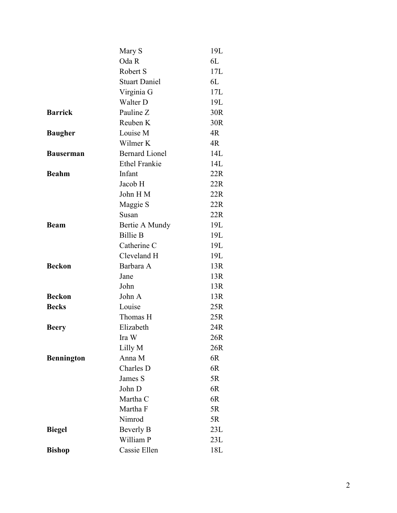|                   | Mary S                | 19L |
|-------------------|-----------------------|-----|
|                   | Oda R                 | 6L  |
|                   | Robert S              | 17L |
|                   | <b>Stuart Daniel</b>  | 6L  |
|                   | Virginia G            | 17L |
|                   | Walter D              | 19L |
| <b>Barrick</b>    | Pauline Z             | 30R |
|                   | Reuben K              | 30R |
| <b>Baugher</b>    | Louise M              | 4R  |
|                   | Wilmer K              | 4R  |
| <b>Bauserman</b>  | <b>Bernard Lionel</b> | 14L |
|                   | <b>Ethel Frankie</b>  | 14L |
| <b>Beahm</b>      | Infant                | 22R |
|                   | Jacob H               | 22R |
|                   | John HM               | 22R |
|                   | Maggie S              | 22R |
|                   | Susan                 | 22R |
| <b>Beam</b>       | Bertie A Mundy        | 19L |
|                   | <b>Billie B</b>       | 19L |
|                   | Catherine C           | 19L |
|                   | Cleveland H           | 19L |
| <b>Beckon</b>     | Barbara A             | 13R |
|                   | Jane                  | 13R |
|                   | John                  | 13R |
| <b>Beckon</b>     | John A                | 13R |
| <b>Becks</b>      | Louise                | 25R |
|                   | Thomas H              | 25R |
| <b>Beery</b>      | Elizabeth             | 24R |
|                   | Ira W                 | 26R |
|                   | Lilly M               | 26R |
| <b>Bennington</b> | Anna M                | 6R  |
|                   | Charles D             | 6R  |
|                   | James S               | 5R  |
|                   | John D                | 6R  |
|                   | Martha C              | 6R  |
|                   | Martha F              | 5R  |
|                   | Nimrod                | 5R  |
| <b>Biegel</b>     | <b>Beverly B</b>      | 23L |
|                   | William P             | 23L |
| <b>Bishop</b>     | Cassie Ellen          | 18L |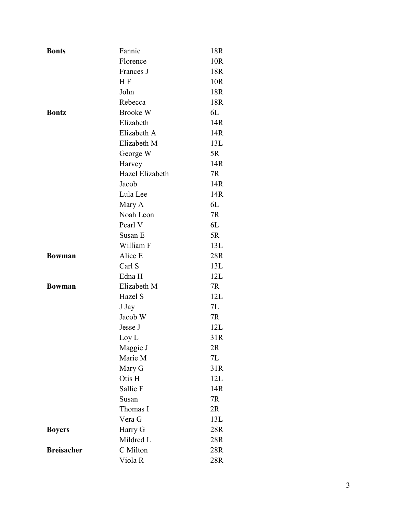| <b>Bonts</b>      | Fannie             | 18R |
|-------------------|--------------------|-----|
|                   | Florence           | 10R |
|                   | Frances J          | 18R |
|                   | H <sub>F</sub>     | 10R |
|                   | John               | 18R |
|                   | Rebecca            | 18R |
| <b>Bontz</b>      | <b>Brooke W</b>    | 6L  |
|                   | Elizabeth          | 14R |
|                   | Elizabeth A        | 14R |
|                   | Elizabeth M        | 13L |
|                   | George W           | 5R  |
|                   | Harvey             | 14R |
|                   | Hazel Elizabeth    | 7R  |
|                   | Jacob              | 14R |
|                   | Lula Lee           | 14R |
|                   | Mary A             | 6L  |
|                   | Noah Leon          | 7R  |
|                   | Pearl V            | 6L  |
|                   | Susan E            | 5R  |
|                   | William F          | 13L |
| <b>Bowman</b>     | Alice E            | 28R |
|                   | Carl S             | 13L |
|                   | Edna H             | 12L |
| <b>Bowman</b>     | Elizabeth M        | 7R  |
|                   | Hazel S            | 12L |
|                   | J Jay              | 7L  |
|                   | Jacob W            | 7R  |
|                   | Jesse J            | 12L |
|                   | Loy L              | 31R |
|                   | Maggie J           | 2R  |
|                   | Marie M            | 7L  |
|                   | Mary G             | 31R |
|                   | Otis H             | 12L |
|                   | Sallie F           | 14R |
|                   | Susan              | 7R  |
|                   | Thomas I           | 2R  |
|                   | Vera G             | 13L |
| <b>Boyers</b>     | Harry G            | 28R |
|                   | Mildred L          | 28R |
| <b>Breisacher</b> | C Milton           | 28R |
|                   | Viola <sub>R</sub> | 28R |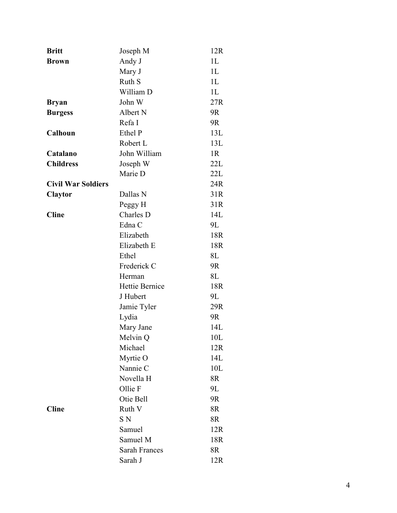| <b>Britt</b>              | Joseph M             | 12R            |
|---------------------------|----------------------|----------------|
| <b>Brown</b>              | Andy J               | 1 <sub>L</sub> |
|                           | Mary J               | 1 <sub>L</sub> |
|                           | Ruth S               | 1 <sub>L</sub> |
|                           | William D            | 1L             |
| <b>Bryan</b>              | John W               | 27R            |
| <b>Burgess</b>            | Albert N             | 9R             |
|                           | Refa I               | 9R             |
| Calhoun                   | Ethel P              | 13L            |
|                           | Robert L             | 13L            |
| Catalano                  | John William         | 1R             |
| <b>Childress</b>          | Joseph W             | 22L            |
|                           | Marie D              | 22L            |
| <b>Civil War Soldiers</b> |                      | 24R            |
| <b>Claytor</b>            | Dallas N             | 31R            |
|                           | Peggy H              | 31R            |
| <b>Cline</b>              | Charles D            | 14L            |
|                           | Edna C               | 9L             |
|                           | Elizabeth            | 18R            |
|                           | Elizabeth E          | 18R            |
|                           | Ethel                | 8L             |
|                           | Frederick C          | 9R             |
|                           | Herman               | 8L             |
|                           | Hettie Bernice       | 18R            |
|                           | J Hubert             | 9L             |
|                           | Jamie Tyler          | 29R            |
|                           | Lydia                | 9R             |
|                           | Mary Jane            | 14L            |
|                           | Melvin Q             | 10L            |
|                           | Michael              | 12R            |
|                           | Myrtie O             | 14L            |
|                           | Nannie C             | 10L            |
|                           | Novella H            | 8R             |
|                           | Ollie F              | 9L             |
|                           | Otie Bell            | 9R             |
| <b>Cline</b>              | Ruth V               | 8R             |
|                           | S N                  | 8R             |
|                           | Samuel               | 12R            |
|                           | Samuel M             | 18R            |
|                           | <b>Sarah Frances</b> | 8R             |
|                           | Sarah J              | 12R            |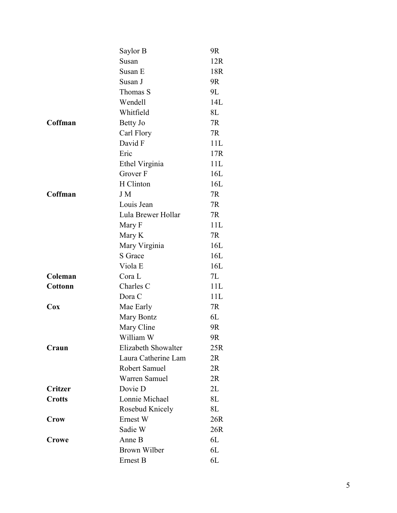|                | Saylor B             | 9R  |
|----------------|----------------------|-----|
|                | Susan                | 12R |
|                | Susan E              | 18R |
|                | Susan J              | 9R  |
|                | Thomas S             | 9L  |
|                | Wendell              | 14L |
|                | Whitfield            | 8L  |
| Coffman        | Betty Jo             | 7R  |
|                | Carl Flory           | 7R  |
|                | David F              | 11L |
|                | Eric                 | 17R |
|                | Ethel Virginia       | 11L |
|                | Grover F             | 16L |
|                | H Clinton            | 16L |
| Coffman        | <b>JM</b>            | 7R  |
|                | Louis Jean           | 7R  |
|                | Lula Brewer Hollar   | 7R  |
|                | Mary F               | 11L |
|                | Mary K               | 7R  |
|                | Mary Virginia        | 16L |
|                | <b>S</b> Grace       | 16L |
|                | Viola <sub>E</sub>   | 16L |
| Coleman        | Cora L               | 7L  |
| <b>Cottonn</b> | Charles C            | 11L |
|                | Dora C               | 11L |
| Cox            | Mae Early            | 7R  |
|                | Mary Bontz           | 6L  |
|                | Mary Cline           | 9R  |
|                | William W            | 9R  |
| Craun          | Elizabeth Showalter  | 25R |
|                | Laura Catherine Lam  | 2R  |
|                | Robert Samuel        | 2R  |
|                | <b>Warren Samuel</b> | 2R  |
| Critzer        | Dovie D              | 2L  |
| <b>Crotts</b>  | Lonnie Michael       | 8L  |
|                | Rosebud Knicely      | 8L  |
| <b>Crow</b>    | Ernest W             | 26R |
|                | Sadie W              | 26R |
| Crowe          | Anne B               | 6L  |
|                | <b>Brown Wilber</b>  | 6L  |
|                | Ernest B             | 6L  |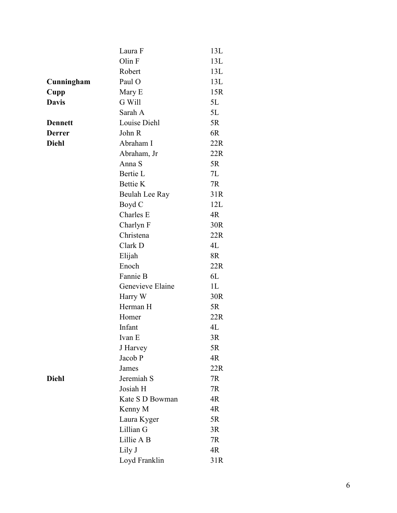|                | Laura F          | 13L            |
|----------------|------------------|----------------|
|                | Olin F           | 13L            |
|                | Robert           | 13L            |
| Cunningham     | Paul O           | 13L            |
| Cupp           | Mary E           | 15R            |
| <b>Davis</b>   | G Will           | 5L             |
|                | Sarah A          | 5L             |
| <b>Dennett</b> | Louise Diehl     | 5R             |
| <b>Derrer</b>  | John R           | 6R             |
| <b>Diehl</b>   | Abraham I        | 22R            |
|                | Abraham, Jr      | 22R            |
|                | Anna S           | 5R             |
|                | Bertie L         | 7L             |
|                | <b>Bettie K</b>  | 7R             |
|                | Beulah Lee Ray   | 31R            |
|                | Boyd C           | 12L            |
|                | Charles E        | 4R             |
|                | Charlyn F        | 30R            |
|                | Christena        | 22R            |
|                | Clark D          | 4L             |
|                | Elijah           | 8R             |
|                | Enoch            | 22R            |
|                | Fannie B         | 6L             |
|                | Genevieve Elaine | 1 <sub>L</sub> |
|                | Harry W          | 30R            |
|                | Herman H         | 5R             |
|                | Homer            | 22R            |
|                | Infant           | 4L             |
|                | Ivan E           | 3R             |
|                | J Harvey         | 5R             |
|                | Jacob P          | 4R             |
|                | James            | 22R            |
| <b>Diehl</b>   | Jeremiah S       | 7R             |
|                | Josiah H         | 7R             |
|                | Kate S D Bowman  | 4R             |
|                | Kenny M          | 4R             |
|                | Laura Kyger      | 5R             |
|                | Lillian G        | 3R             |
|                | Lillie A B       | 7R             |
|                | Lily J           | 4R             |
|                | Loyd Franklin    | 31R            |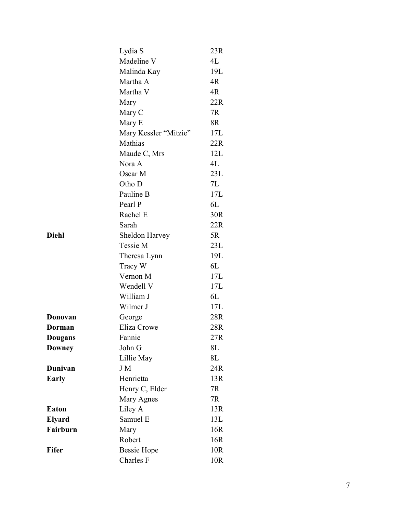|                | Lydia S               | 23R |
|----------------|-----------------------|-----|
|                | Madeline V            | 4L  |
|                | Malinda Kay           | 19L |
|                | Martha A              | 4R  |
|                | Martha V              | 4R  |
|                | Mary                  | 22R |
|                | Mary C                | 7R  |
|                | Mary E                | 8R  |
|                | Mary Kessler "Mitzie" | 17L |
|                | Mathias               | 22R |
|                | Maude C, Mrs          | 12L |
|                | Nora A                | 4L  |
|                | Oscar M               | 23L |
|                | Otho D                | 7L  |
|                | Pauline B             | 17L |
|                | Pearl P               | 6L  |
|                | Rachel E              | 30R |
|                | Sarah                 | 22R |
| Diehl          | Sheldon Harvey        | 5R  |
|                | Tessie M              | 23L |
|                | Theresa Lynn          | 19L |
|                | Tracy W               | 6L  |
|                | Vernon M              | 17L |
|                | Wendell V             | 17L |
|                | William J             | 6L  |
|                | Wilmer J              | 17L |
| Donovan        | George                | 28R |
| Dorman         | Eliza Crowe           | 28R |
| <b>Dougans</b> | Fannie                | 27R |
| Downey         | John G                | 8L  |
|                | Lillie May            | 8L  |
| Dunivan        | J M                   | 24R |
| <b>Early</b>   | Henrietta             | 13R |
|                | Henry C, Elder        | 7R  |
|                | Mary Agnes            | 7R  |
| Eaton          | Liley A               | 13R |
| <b>Elyard</b>  | Samuel E              | 13L |
| Fairburn       | Mary                  | 16R |
|                | Robert                | 16R |
| Fifer          | <b>Bessie Hope</b>    | 10R |
|                | Charles F             | 10R |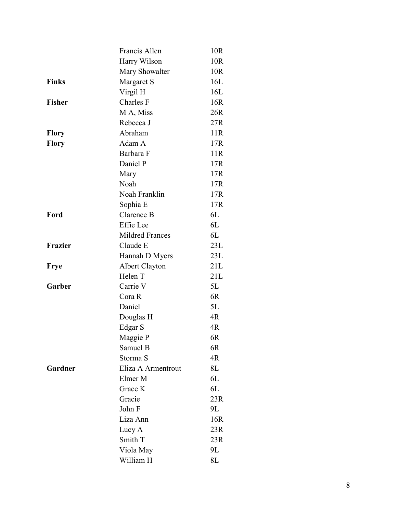|               | Francis Allen          | 10R |
|---------------|------------------------|-----|
|               | Harry Wilson           | 10R |
|               | Mary Showalter         | 10R |
| <b>Finks</b>  | Margaret S             | 16L |
|               | Virgil H               | 16L |
| <b>Fisher</b> | Charles F              | 16R |
|               | M A, Miss              | 26R |
|               | Rebecca J              | 27R |
| <b>Flory</b>  | Abraham                | 11R |
| <b>Flory</b>  | Adam A                 | 17R |
|               | Barbara F              | 11R |
|               | Daniel P               | 17R |
|               | Mary                   | 17R |
|               | Noah                   | 17R |
|               | Noah Franklin          | 17R |
|               | Sophia E               | 17R |
| Ford          | Clarence B             | 6L  |
|               | Effie Lee              | 6L  |
|               | <b>Mildred Frances</b> | 6L  |
| Frazier       | Claude E               | 23L |
|               | Hannah D Myers         | 23L |
| <b>Frye</b>   | <b>Albert Clayton</b>  | 21L |
|               | Helen T                | 21L |
| Garber        | Carrie V               | 5L  |
|               | Cora R                 | 6R  |
|               | Daniel                 | 5L  |
|               | Douglas H              | 4R  |
|               | Edgar S                | 4R  |
|               | Maggie P               | 6R  |
|               | Samuel B               | 6R  |
|               | Storma S               | 4R  |
| Gardner       | Eliza A Armentrout     | 8L  |
|               | Elmer M                | 6L  |
|               | Grace K                | 6L  |
|               | Gracie                 | 23R |
|               | John F                 | 9L  |
|               | Liza Ann               | 16R |
|               | Lucy A                 | 23R |
|               | Smith T                | 23R |
|               | Viola May              | 9L  |
|               | William H              | 8L  |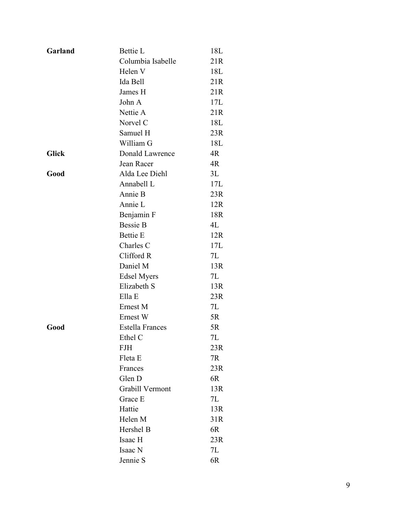| Garland      | Bettie L               | 18L |
|--------------|------------------------|-----|
|              | Columbia Isabelle      | 21R |
|              | Helen V                | 18L |
|              | Ida Bell               | 21R |
|              | James H                | 21R |
|              | John A                 | 17L |
|              | Nettie A               | 21R |
|              | Norvel C               | 18L |
|              | Samuel H               | 23R |
|              | William G              | 18L |
| <b>Glick</b> | Donald Lawrence        | 4R  |
|              | Jean Racer             | 4R  |
| Good         | Alda Lee Diehl         | 3L  |
|              | Annabell L             | 17L |
|              | Annie B                | 23R |
|              | Annie L                | 12R |
|              | Benjamin F             | 18R |
|              | <b>Bessie B</b>        | 4L  |
|              | <b>Bettie E</b>        | 12R |
|              | Charles C              | 17L |
|              | Clifford R             | 7L  |
|              | Daniel M               | 13R |
|              | <b>Edsel Myers</b>     | 7L  |
|              | Elizabeth S            | 13R |
|              | Ella E                 | 23R |
|              | Ernest M               | 7L  |
|              | Ernest W               | 5R  |
| Good         | <b>Estella Frances</b> | 5R  |
|              | Ethel C                | 7L  |
|              | <b>FJH</b>             | 23R |
|              | Fleta E                | 7R  |
|              | Frances                | 23R |
|              | Glen D                 | 6R  |
|              | Grabill Vermont        | 13R |
|              | Grace E                | 7L  |
|              | Hattie                 | 13R |
|              | Helen M                | 31R |
|              | Hershel B              | 6R  |
|              | Isaac H                | 23R |
|              | Isaac N                | 7L  |
|              | Jennie S               | 6R  |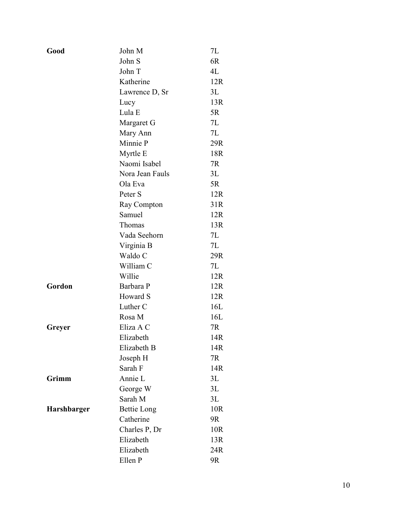| Good        | John M             | 7L  |
|-------------|--------------------|-----|
|             | John S             | 6R  |
|             | John T             | 4L  |
|             | Katherine          | 12R |
|             | Lawrence D, Sr     | 3L  |
|             | Lucy               | 13R |
|             | Lula E             | 5R  |
|             | Margaret G         | 7L  |
|             | Mary Ann           | 7L  |
|             | Minnie P           | 29R |
|             | Myrtle E           | 18R |
|             | Naomi Isabel       | 7R  |
|             | Nora Jean Fauls    | 3L  |
|             | Ola Eva            | 5R  |
|             | Peter S            | 12R |
|             | Ray Compton        | 31R |
|             | Samuel             | 12R |
|             | Thomas             | 13R |
|             | Vada Seehorn       | 7L  |
|             | Virginia B         | 7L  |
|             | Waldo C            | 29R |
|             | William C          | 7L  |
|             | Willie             | 12R |
| Gordon      | Barbara P          | 12R |
|             | Howard S           | 12R |
|             | Luther C           | 16L |
|             | Rosa M             | 16L |
| Greyer      | Eliza A C          | 7R  |
|             | Elizabeth          | 14R |
|             | Elizabeth B        | 14R |
|             | Joseph H           | 7R  |
|             | Sarah F            | 14R |
| Grimm       | Annie L            | 3L  |
|             | George W           | 3L  |
|             | Sarah M            | 3L  |
| Harshbarger | <b>Bettie Long</b> | 10R |
|             | Catherine          | 9R  |
|             | Charles P, Dr      | 10R |
|             | Elizabeth          | 13R |
|             | Elizabeth          | 24R |
|             | Ellen P            | 9R  |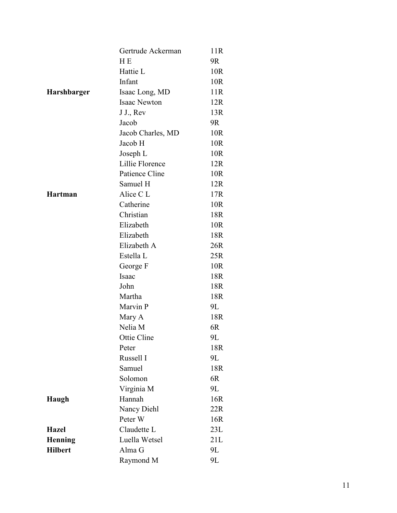|                    | Gertrude Ackerman   | 11R |
|--------------------|---------------------|-----|
|                    | H <sub>E</sub>      | 9R  |
|                    | Hattie L            | 10R |
|                    | Infant              | 10R |
| <b>Harshbarger</b> | Isaac Long, MD      | 11R |
|                    | <b>Isaac Newton</b> | 12R |
|                    | J J., Rev           | 13R |
|                    | Jacob               | 9R  |
|                    | Jacob Charles, MD   | 10R |
|                    | Jacob H             | 10R |
|                    | Joseph L            | 10R |
|                    | Lillie Florence     | 12R |
|                    | Patience Cline      | 10R |
|                    | Samuel H            | 12R |
| Hartman            | Alice C L           | 17R |
|                    | Catherine           | 10R |
|                    | Christian           | 18R |
|                    | Elizabeth           | 10R |
|                    | Elizabeth           | 18R |
|                    | Elizabeth A         | 26R |
|                    | Estella L           | 25R |
|                    | George F            | 10R |
|                    | Isaac               | 18R |
|                    | John                | 18R |
|                    | Martha              | 18R |
|                    | Marvin P            | 9L  |
|                    | Mary A              | 18R |
|                    | Nelia M             | 6R  |
|                    | Ottie Cline         | 9L  |
|                    | Peter               | 18R |
|                    | Russell I           | 9L  |
|                    | Samuel              | 18R |
|                    | Solomon             | 6R  |
|                    | Virginia M          | 9L  |
| Haugh              | Hannah              | 16R |
|                    | Nancy Diehl         | 22R |
|                    | Peter W             | 16R |
| <b>Hazel</b>       | Claudette L         | 23L |
| <b>Henning</b>     | Luella Wetsel       | 21L |
| <b>Hilbert</b>     | Alma G              | 9L  |
|                    | Raymond M           | 9L  |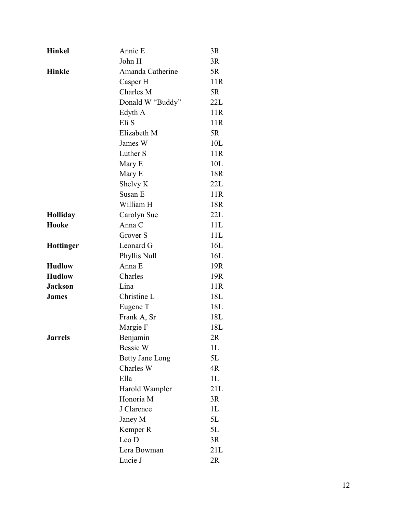| <b>Hinkel</b>    | Annie E                | 3R             |
|------------------|------------------------|----------------|
|                  | John H                 | 3R             |
| <b>Hinkle</b>    | Amanda Catherine       | 5R             |
|                  | Casper H               | 11R            |
|                  | Charles M              | 5R             |
|                  | Donald W "Buddy"       | 22L            |
|                  | Edyth A                | 11R            |
|                  | Eli S                  | 11R            |
|                  | Elizabeth M            | 5R             |
|                  | James W                | 10L            |
|                  | Luther S               | 11R            |
|                  | Mary E                 | 10L            |
|                  | Mary E                 | 18R            |
|                  | Shelvy K               | 22L            |
|                  | Susan E                | 11R            |
|                  | William H              | 18R            |
| Holliday         | Carolyn Sue            | 22L            |
| Hooke            | Anna C                 | 11L            |
|                  | Grover S               | 11L            |
| <b>Hottinger</b> | Leonard G              | 16L            |
|                  | Phyllis Null           | 16L            |
| <b>Hudlow</b>    | Anna E                 | 19R            |
| <b>Hudlow</b>    | Charles                | 19R            |
| <b>Jackson</b>   | Lina                   | 11R            |
| <b>James</b>     | Christine L            | 18L            |
|                  | Eugene T               | 18L            |
|                  | Frank A, Sr            | 18L            |
|                  | Margie F               | 18L            |
| <b>Jarrels</b>   | Benjamin               | 2R             |
|                  | Bessie W               | 1 <sub>L</sub> |
|                  | <b>Betty Jane Long</b> | 5L             |
|                  | Charles W              | 4R             |
|                  | Ella                   | 1L             |
|                  | Harold Wampler         | 21L            |
|                  | Honoria M              | 3R             |
|                  | J Clarence             | 1 <sub>L</sub> |
|                  | Janey M                | 5L             |
|                  | Kemper R               | 5L             |
|                  | Leo D                  | 3R             |
|                  | Lera Bowman            | 21L            |
|                  | Lucie J                | 2R             |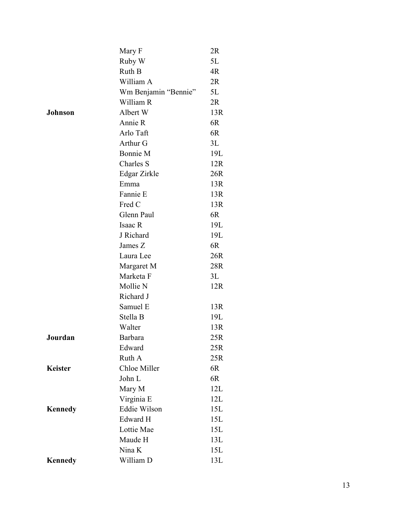|                | Mary F               | 2R  |
|----------------|----------------------|-----|
|                | Ruby W               | 5L  |
|                | Ruth B               | 4R  |
|                | William A            | 2R  |
|                | Wm Benjamin "Bennie" | 5L  |
|                | William R            | 2R  |
| <b>Johnson</b> | Albert W             | 13R |
|                | Annie R              | 6R  |
|                | Arlo Taft            | 6R  |
|                | Arthur G             | 3L  |
|                | Bonnie M             | 19L |
|                | Charles S            | 12R |
|                | Edgar Zirkle         | 26R |
|                | Emma                 | 13R |
|                | Fannie E             | 13R |
|                | Fred C               | 13R |
|                | Glenn Paul           | 6R  |
|                | Isaac R              | 19L |
|                | J Richard            | 19L |
|                | James Z              | 6R  |
|                | Laura Lee            | 26R |
|                | Margaret M           | 28R |
|                | Marketa F            | 3L  |
|                | Mollie N             | 12R |
|                | Richard J            |     |
|                | Samuel E             | 13R |
|                | Stella B             | 19L |
|                | Walter               | 13R |
| Jourdan        | <b>Barbara</b>       | 25R |
|                | Edward               | 25R |
|                | Ruth A               | 25R |
| <b>Keister</b> | Chloe Miller         | 6R  |
|                | John L               | 6R  |
|                | Mary M               | 12L |
|                | Virginia E           | 12L |
| <b>Kennedy</b> | Eddie Wilson         | 15L |
|                | Edward H             | 15L |
|                | Lottie Mae           | 15L |
|                | Maude H              | 13L |
|                | Nina K               | 15L |
| <b>Kennedy</b> | William D            | 13L |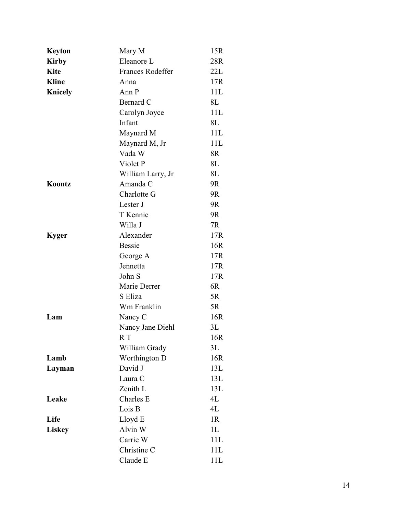| <b>Keyton</b>  | Mary M                  | 15R |
|----------------|-------------------------|-----|
| <b>Kirby</b>   | Eleanore L              | 28R |
| <b>Kite</b>    | <b>Frances Rodeffer</b> | 22L |
| <b>Kline</b>   | Anna                    | 17R |
| <b>Knicely</b> | Ann P                   | 11L |
|                | Bernard C               | 8L  |
|                | Carolyn Joyce           | 11L |
|                | Infant                  | 8L  |
|                | Maynard M               | 11L |
|                | Maynard M, Jr           | 11L |
|                | Vada W                  | 8R  |
|                | Violet P                | 8L  |
|                | William Larry, Jr       | 8L  |
| Koontz         | Amanda C                | 9R  |
|                | Charlotte G             | 9R  |
|                | Lester J                | 9R  |
|                | T Kennie                | 9R  |
|                | Willa J                 | 7R  |
| <b>Kyger</b>   | Alexander               | 17R |
|                | <b>Bessie</b>           | 16R |
|                | George A                | 17R |
|                | Jennetta                | 17R |
|                | John S                  | 17R |
|                | Marie Derrer            | 6R  |
|                | S Eliza                 | 5R  |
|                | Wm Franklin             | 5R  |
| Lam            | Nancy C                 | 16R |
|                | Nancy Jane Diehl        | 3L  |
|                | R T                     | 16R |
|                | William Grady           | 3L  |
| Lamb           | Worthington D           | 16R |
| Layman         | David J                 | 13L |
|                | Laura C                 | 13L |
|                | Zenith L                | 13L |
| Leake          | Charles E               | 4L  |
|                | Lois B                  | 4L  |
| Life           | Lloyd E                 | 1R  |
| <b>Liskey</b>  | Alvin W                 | 1L  |
|                | Carrie W                | 11L |
|                | Christine C             | 11L |
|                | Claude E                | 11L |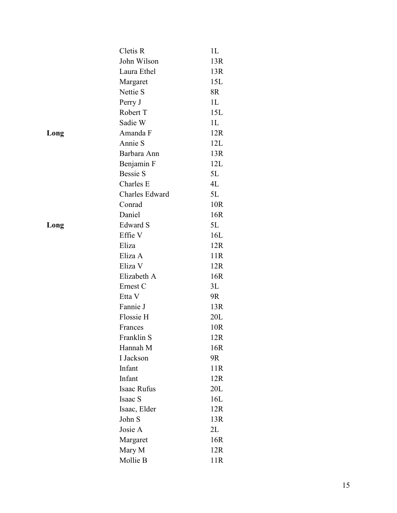|      | Cletis R        | 1L             |
|------|-----------------|----------------|
|      | John Wilson     | 13R            |
|      | Laura Ethel     | 13R            |
|      | Margaret        | 15L            |
|      | Nettie S        | 8R             |
|      | Perry J         | 1 <sub>L</sub> |
|      | Robert T        | 15L            |
|      | Sadie W         | 1L             |
| Long | Amanda F        | 12R            |
|      | Annie S         | 12L            |
|      | Barbara Ann     | 13R            |
|      | Benjamin F      | 12L            |
|      | <b>Bessie S</b> | 5L             |
|      | Charles E       | 4L             |
|      | Charles Edward  | 5L             |
|      | Conrad          | 10R            |
|      | Daniel          | 16R            |
| Long | Edward S        | 5L             |
|      | Effie V         | 16L            |
|      | Eliza           | 12R            |
|      | Eliza A         | 11R            |
|      | Eliza V         | 12R            |
|      | Elizabeth A     | 16R            |
|      | Ernest C        | 3L             |
|      | Etta V          | 9R             |
|      | Fannie J        | 13R            |
|      | Flossie H       | 20L            |
|      | Frances         | 10R            |
|      | Franklin S      | 12R            |
|      | Hannah M        | 16R            |
|      | I Jackson       | 9R             |
|      | Infant          | 11R            |
|      | Infant          | 12R            |
|      | Isaac Rufus     | 20L            |
|      | Isaac S         | 16L            |
|      | Isaac, Elder    | 12R            |
|      | John S          | 13R            |
|      | Josie A         | 2L             |
|      | Margaret        | 16R            |
|      | Mary M          | 12R            |
|      | Mollie B        | 11R            |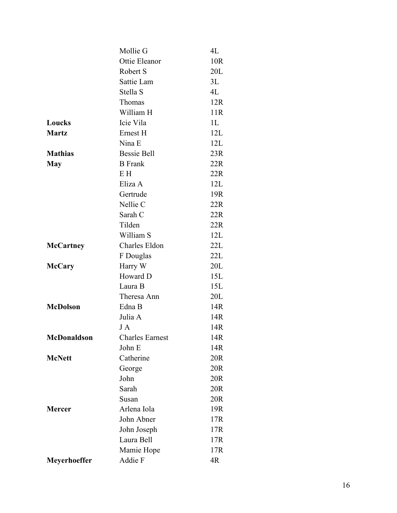|                     | Mollie G               | 4L  |
|---------------------|------------------------|-----|
|                     | Ottie Eleanor          | 10R |
|                     | Robert S               | 20L |
|                     | Sattie Lam             | 3L  |
|                     | Stella S               | 4L  |
|                     | Thomas                 | 12R |
|                     | William H              | 11R |
| Loucks              | Icie Vila              | 1L  |
| <b>Martz</b>        | Ernest H               | 12L |
|                     | Nina E                 | 12L |
| <b>Mathias</b>      | <b>Bessie Bell</b>     | 23R |
| <b>May</b>          | <b>B</b> Frank         | 22R |
|                     | E H                    | 22R |
|                     | Eliza A                | 12L |
|                     | Gertrude               | 19R |
|                     | Nellie C               | 22R |
|                     | Sarah C                | 22R |
|                     | Tilden                 | 22R |
|                     | William S              | 12L |
| <b>McCartney</b>    | Charles Eldon          | 22L |
|                     | F Douglas              | 22L |
| <b>McCary</b>       | Harry W                | 20L |
|                     | Howard D               | 15L |
|                     | Laura B                | 15L |
|                     | Theresa Ann            | 20L |
| <b>McDolson</b>     | Edna B                 | 14R |
|                     | Julia A                | 14R |
|                     | J A                    | 14R |
| McDonaldson         | <b>Charles Earnest</b> | 14R |
|                     | John E                 | 14R |
| <b>McNett</b>       | Catherine              | 20R |
|                     | George                 | 20R |
|                     | John                   | 20R |
|                     | Sarah                  | 20R |
|                     | Susan                  | 20R |
| <b>Mercer</b>       | Arlena Iola            | 19R |
|                     | John Abner             | 17R |
|                     | John Joseph            | 17R |
|                     | Laura Bell             | 17R |
|                     | Mamie Hope             | 17R |
| <b>Meyerhoeffer</b> | Addie F                | 4R  |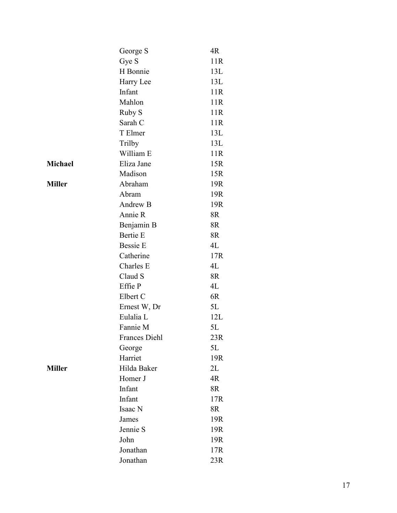|               | George S             | 4R  |
|---------------|----------------------|-----|
|               | Gye S                | 11R |
|               | H Bonnie             | 13L |
|               | Harry Lee            | 13L |
|               | Infant               | 11R |
|               | Mahlon               | 11R |
|               | Ruby S               | 11R |
|               | Sarah C              | 11R |
|               | T Elmer              | 13L |
|               | Trilby               | 13L |
|               | William E            | 11R |
| Michael       | Eliza Jane           | 15R |
|               | Madison              | 15R |
| <b>Miller</b> | Abraham              | 19R |
|               | Abram                | 19R |
|               | Andrew B             | 19R |
|               | Annie R              | 8R  |
|               | Benjamin B           | 8R  |
|               | <b>Bertie E</b>      | 8R  |
|               | <b>Bessie E</b>      | 4L  |
|               | Catherine            | 17R |
|               | Charles E            | 4L  |
|               | Claud S              | 8R  |
|               | Effie P              | 4L  |
|               | Elbert C             | 6R  |
|               | Ernest W, Dr         | 5L  |
|               | Eulalia L            | 12L |
|               | Fannie M             | 5L  |
|               | <b>Frances Diehl</b> | 23R |
|               | George               | 5L  |
|               | Harriet              | 19R |
| <b>Miller</b> | Hilda Baker          | 2L  |
|               | Homer J              | 4R  |
|               | Infant               | 8R  |
|               | Infant               | 17R |
|               | Isaac N              | 8R  |
|               | James                | 19R |
|               | Jennie S             | 19R |
|               | John                 | 19R |
|               | Jonathan             | 17R |
|               | Jonathan             | 23R |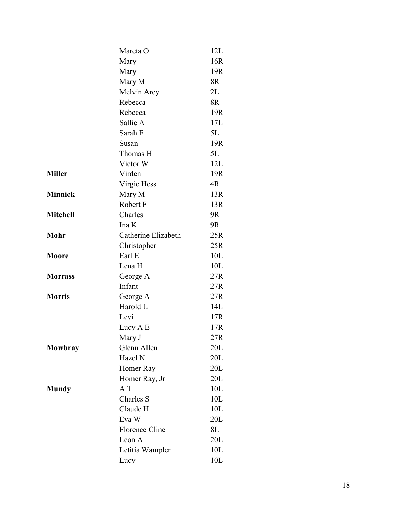|                 | Mareta O              | 12L |
|-----------------|-----------------------|-----|
|                 | Mary                  | 16R |
|                 | Mary                  | 19R |
|                 | Mary M                | 8R  |
|                 | Melvin Arey           | 2L  |
|                 | Rebecca               | 8R  |
|                 | Rebecca               | 19R |
|                 | Sallie A              | 17L |
|                 | Sarah E               | 5L  |
|                 | Susan                 | 19R |
|                 | Thomas H              | 5L  |
|                 | Victor W              | 12L |
| <b>Miller</b>   | Virden                | 19R |
|                 | Virgie Hess           | 4R  |
| <b>Minnick</b>  | Mary M                | 13R |
|                 | Robert F              | 13R |
| <b>Mitchell</b> | Charles               | 9R  |
|                 | Ina K                 | 9R  |
| Mohr            | Catherine Elizabeth   | 25R |
|                 | Christopher           | 25R |
| <b>Moore</b>    | Earl E                | 10L |
|                 | Lena H                | 10L |
| <b>Morrass</b>  | George A              | 27R |
|                 | Infant                | 27R |
| <b>Morris</b>   | George A              | 27R |
|                 | Harold L              | 14L |
|                 | Levi                  | 17R |
|                 | Lucy A E              | 17R |
|                 | Mary J                | 27R |
| Mowbray         | Glenn Allen           | 20L |
|                 | Hazel N               | 20L |
|                 | Homer Ray             | 20L |
|                 | Homer Ray, Jr         | 20L |
| <b>Mundy</b>    | A T                   | 10L |
|                 | Charles S             | 10L |
|                 | Claude H              | 10L |
|                 | Eva W                 | 20L |
|                 | <b>Florence Cline</b> | 8L  |
|                 | Leon A                | 20L |
|                 | Letitia Wampler       | 10L |
|                 | Lucy                  | 10L |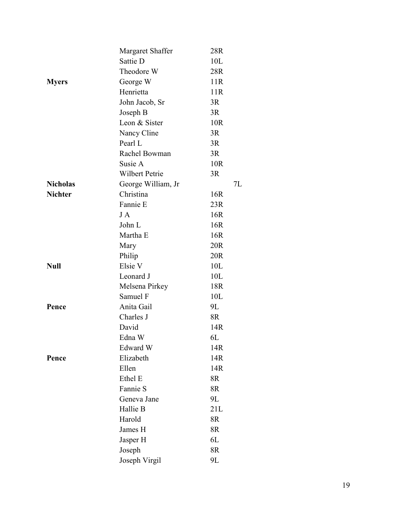|                 | Margaret Shaffer      | 28R |    |
|-----------------|-----------------------|-----|----|
|                 | Sattie D              | 10L |    |
|                 | Theodore W            | 28R |    |
| <b>Myers</b>    | George W              | 11R |    |
|                 | Henrietta             | 11R |    |
|                 | John Jacob, Sr        | 3R  |    |
|                 | Joseph B              | 3R  |    |
|                 | Leon & Sister         | 10R |    |
|                 | Nancy Cline           | 3R  |    |
|                 | Pearl L               | 3R  |    |
|                 | Rachel Bowman         | 3R  |    |
|                 | Susie A               | 10R |    |
|                 | <b>Wilbert Petrie</b> | 3R  |    |
| <b>Nicholas</b> | George William, Jr    |     | 7L |
| <b>Nichter</b>  | Christina             | 16R |    |
|                 | Fannie E              | 23R |    |
|                 | J A                   | 16R |    |
|                 | John L                | 16R |    |
|                 | Martha E              | 16R |    |
|                 | Mary                  | 20R |    |
|                 | Philip                | 20R |    |
| <b>Null</b>     | Elsie V               | 10L |    |
|                 | Leonard J             | 10L |    |
|                 | Melsena Pirkey        | 18R |    |
|                 | Samuel F              | 10L |    |
| Pence           | Anita Gail            | 9L  |    |
|                 | Charles J             | 8R  |    |
|                 | David                 | 14R |    |
|                 | Edna W                | 6L  |    |
|                 | Edward W              | 14R |    |
| Pence           | Elizabeth             | 14R |    |
|                 | Ellen                 | 14R |    |
|                 | Ethel E               | 8R  |    |
|                 | Fannie S              | 8R  |    |
|                 | Geneva Jane           | 9L  |    |
|                 | Hallie B              | 21L |    |
|                 | Harold                | 8R  |    |
|                 | James H               | 8R  |    |
|                 | Jasper H              | 6L  |    |
|                 | Joseph                | 8R  |    |
|                 | Joseph Virgil         | 9L  |    |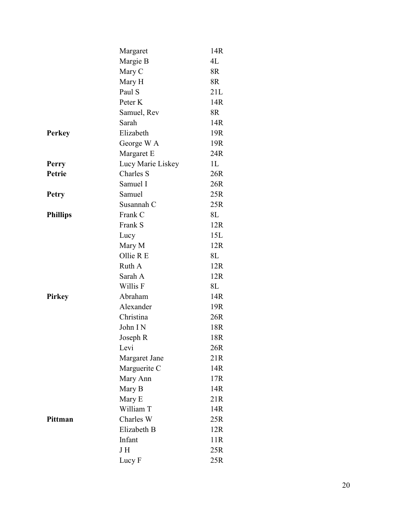|                 | Margaret          | 14R            |
|-----------------|-------------------|----------------|
|                 | Margie B          | 4L             |
|                 | Mary C            | 8R             |
|                 | Mary H            | 8R             |
|                 | Paul S            | 21L            |
|                 | Peter K           | 14R            |
|                 | Samuel, Rev       | 8R             |
|                 | Sarah             | 14R            |
| <b>Perkey</b>   | Elizabeth         | 19R            |
|                 | George W A        | 19R            |
|                 | Margaret E        | 24R            |
| Perry           | Lucy Marie Liskey | 1 <sub>L</sub> |
| Petrie          | Charles S         | 26R            |
|                 | Samuel I          | 26R            |
| <b>Petry</b>    | Samuel            | 25R            |
|                 | Susannah C        | 25R            |
| <b>Phillips</b> | Frank C           | 8L             |
|                 | Frank S           | 12R            |
|                 | Lucy              | 15L            |
|                 | Mary M            | 12R            |
|                 | Ollie R E         | 8L             |
|                 | Ruth A            | 12R            |
|                 | Sarah A           | 12R            |
|                 | Willis F          | 8L             |
| <b>Pirkey</b>   | Abraham           | 14R            |
|                 | Alexander         | 19R            |
|                 | Christina         | 26R            |
|                 | John IN           | 18R            |
|                 | Joseph R          | 18R            |
|                 | Levi              | 26R            |
|                 | Margaret Jane     | 21R            |
|                 | Marguerite C      | 14R            |
|                 | Mary Ann          | 17R            |
|                 | Mary B            | 14R            |
|                 | Mary E            | 21R            |
|                 | William T         | 14R            |
| Pittman         | Charles W         | 25R            |
|                 | Elizabeth B       | 12R            |
|                 | Infant            | 11R            |
|                 | J H               | 25R            |
|                 | Lucy F            | 25R            |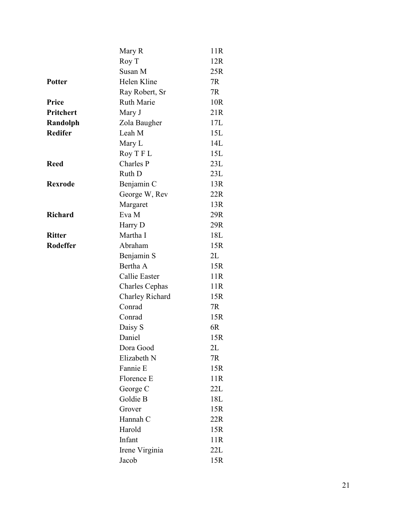|                 | Mary R                | 11R |
|-----------------|-----------------------|-----|
|                 | Roy T                 | 12R |
|                 | Susan M               | 25R |
| <b>Potter</b>   | Helen Kline           | 7R  |
|                 | Ray Robert, Sr        | 7R  |
| Price           | <b>Ruth Marie</b>     | 10R |
| Pritchert       | Mary J                | 21R |
| Randolph        | Zola Baugher          | 17L |
| <b>Redifer</b>  | Leah M                | 15L |
|                 | Mary L                | 14L |
|                 | Roy T F L             | 15L |
| <b>Reed</b>     | Charles P             | 23L |
|                 | Ruth D                | 23L |
| <b>Rexrode</b>  | Benjamin C            | 13R |
|                 | George W, Rev         | 22R |
|                 | Margaret              | 13R |
| <b>Richard</b>  | Eva M                 | 29R |
|                 | Harry D               | 29R |
| <b>Ritter</b>   | Martha I              | 18L |
| <b>Rodeffer</b> | Abraham               | 15R |
|                 | Benjamin S            | 2L  |
|                 | Bertha A              | 15R |
|                 | Callie Easter         | 11R |
|                 | <b>Charles Cephas</b> | 11R |
|                 | Charley Richard       | 15R |
|                 | Conrad                | 7R  |
|                 | Conrad                | 15R |
|                 | Daisy S               | 6R  |
|                 | Daniel                | 15R |
|                 | Dora Good             | 2L  |
|                 | Elizabeth N           | 7R  |
|                 | Fannie E              | 15R |
|                 | Florence E            | 11R |
|                 | George C              | 22L |
|                 | Goldie B              | 18L |
|                 | Grover                | 15R |
|                 | Hannah C              | 22R |
|                 | Harold                | 15R |
|                 | Infant                | 11R |
|                 | Irene Virginia        | 22L |
|                 | Jacob                 | 15R |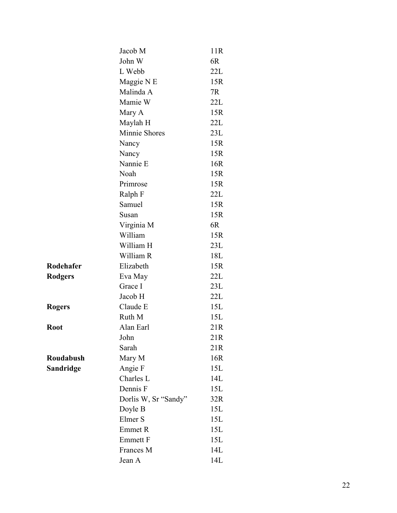|                | Jacob M              | 11R |
|----------------|----------------------|-----|
|                | John W               | 6R  |
|                | L Webb               | 22L |
|                | Maggie N E           | 15R |
|                | Malinda A            | 7R  |
|                | Mamie W              | 22L |
|                | Mary A               | 15R |
|                | Maylah H             | 22L |
|                | Minnie Shores        | 23L |
|                | Nancy                | 15R |
|                | Nancy                | 15R |
|                | Nannie E             | 16R |
|                | Noah                 | 15R |
|                | Primrose             | 15R |
|                | Ralph F              | 22L |
|                | Samuel               | 15R |
|                | Susan                | 15R |
|                | Virginia M           | 6R  |
|                | William              | 15R |
|                | William H            | 23L |
|                | William R            | 18L |
| Rodehafer      | Elizabeth            | 15R |
| <b>Rodgers</b> | Eva May              | 22L |
|                | Grace I              | 23L |
|                | Jacob H              | 22L |
| Rogers         | Claude E             | 15L |
|                | Ruth M               | 15L |
| Root           | Alan Earl            | 21R |
|                | John                 | 21R |
|                | Sarah                | 21R |
| Roudabush      | Mary M               | 16R |
| Sandridge      | Angie F              | 15L |
|                | Charles L            | 14L |
|                | Dennis F             | 15L |
|                | Dorlis W, Sr "Sandy" | 32R |
|                | Doyle B              | 15L |
|                | Elmer S              | 15L |
|                | Emmet R              | 15L |
|                | <b>Emmett F</b>      | 15L |
|                | Frances M            | 14L |
|                | Jean A               | 14L |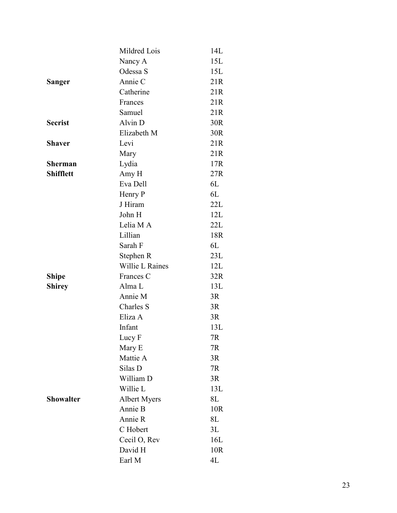|                  | Mildred Lois        | 14L |
|------------------|---------------------|-----|
|                  | Nancy A             | 15L |
|                  | Odessa S            | 15L |
| Sanger           | Annie C             | 21R |
|                  | Catherine           | 21R |
|                  | Frances             | 21R |
|                  | Samuel              | 21R |
| <b>Secrist</b>   | Alvin D             | 30R |
|                  | Elizabeth M         | 30R |
| <b>Shaver</b>    | Levi                | 21R |
|                  | Mary                | 21R |
| <b>Sherman</b>   | Lydia               | 17R |
| <b>Shifflett</b> | Amy H               | 27R |
|                  | Eva Dell            | 6L  |
|                  | Henry P             | 6L  |
|                  | J Hiram             | 22L |
|                  | John H              | 12L |
|                  | Lelia M A           | 22L |
|                  | Lillian             | 18R |
|                  | Sarah F             | 6L  |
|                  | Stephen R           | 23L |
|                  | Willie L Raines     | 12L |
| <b>Shipe</b>     | Frances C           | 32R |
| <b>Shirey</b>    | Alma L              | 13L |
|                  | Annie M             | 3R  |
|                  | Charles S           | 3R  |
|                  | Eliza A             | 3R  |
|                  | Infant              | 13L |
|                  | Lucy F              | 7R  |
|                  | Mary E              | 7R  |
|                  | Mattie A            | 3R  |
|                  | Silas D             | 7R  |
|                  | William D           | 3R  |
|                  | Willie L            | 13L |
| <b>Showalter</b> | <b>Albert Myers</b> | 8L  |
|                  | Annie B             | 10R |
|                  | Annie R             | 8L  |
|                  | C Hobert            | 3L  |
|                  | Cecil O, Rev        | 16L |
|                  | David H             | 10R |
|                  | Earl M              | 4L  |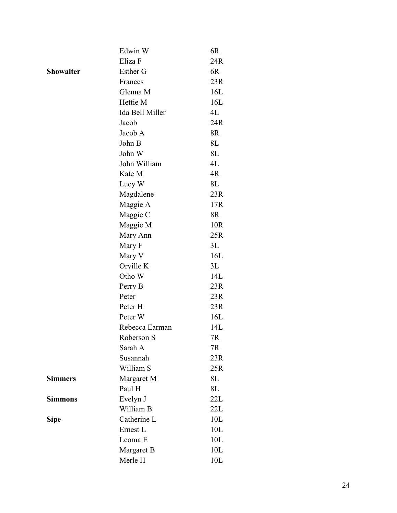|                  | Edwin W            | 6R  |
|------------------|--------------------|-----|
|                  | Eliza F            | 24R |
| <b>Showalter</b> | Esther G           | 6R  |
|                  | Frances            | 23R |
|                  | Glenna M           | 16L |
|                  | Hettie M           | 16L |
|                  | Ida Bell Miller    | 4L  |
|                  | Jacob              | 24R |
|                  | Jacob A            | 8R  |
|                  | John B             | 8L  |
|                  | John W             | 8L  |
|                  | John William       | 4L  |
|                  | Kate M             | 4R  |
|                  | Lucy W             | 8L  |
|                  | Magdalene          | 23R |
|                  | Maggie A           | 17R |
|                  | Maggie C           | 8R  |
|                  | Maggie M           | 10R |
|                  | Mary Ann           | 25R |
|                  | Mary F             | 3L  |
|                  | Mary V             | 16L |
|                  | Orville K          | 3L  |
|                  | Otho W             | 14L |
|                  | Perry B            | 23R |
|                  | Peter              | 23R |
|                  | Peter H            | 23R |
|                  | Peter W            | 16L |
|                  | Rebecca Earman     | 14L |
|                  | Roberson S         | 7R  |
|                  | Sarah A            | 7R  |
|                  | Susannah           | 23R |
|                  | William S          | 25R |
| <b>Simmers</b>   | Margaret M         | 8L  |
|                  | Paul H             | 8L  |
| <b>Simmons</b>   | Evelyn J           | 22L |
|                  | William B          | 22L |
| <b>Sipe</b>      | Catherine L        | 10L |
|                  | Ernest L           | 10L |
|                  | Leoma <sub>E</sub> | 10L |
|                  | Margaret B         | 10L |
|                  | Merle H            | 10L |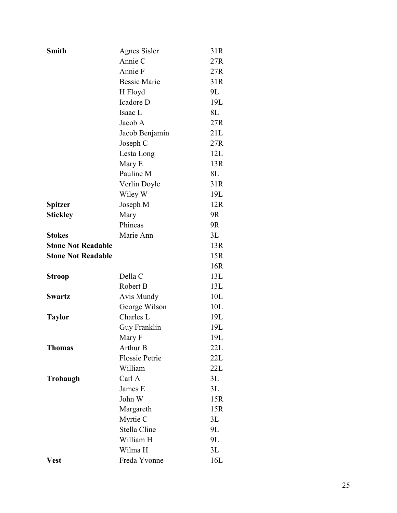| <b>Smith</b>              | <b>Agnes Sisler</b>   | 31R |
|---------------------------|-----------------------|-----|
|                           | Annie C               | 27R |
|                           | Annie F               | 27R |
|                           | <b>Bessie Marie</b>   | 31R |
|                           | H Floyd               | 9L  |
|                           | Icadore D             | 19L |
|                           | Isaac L               | 8L  |
|                           | Jacob A               | 27R |
|                           | Jacob Benjamin        | 21L |
|                           | Joseph C              | 27R |
|                           | Lesta Long            | 12L |
|                           | Mary E                | 13R |
|                           | Pauline M             | 8L  |
|                           | Verlin Doyle          | 31R |
|                           | Wiley W               | 19L |
| Spitzer                   | Joseph M              | 12R |
| <b>Stickley</b>           | Mary                  | 9R  |
|                           | Phineas               | 9R  |
| <b>Stokes</b>             | Marie Ann             | 3L  |
| <b>Stone Not Readable</b> |                       | 13R |
| <b>Stone Not Readable</b> |                       | 15R |
|                           |                       | 16R |
| <b>Stroop</b>             | Della C               | 13L |
|                           | Robert B              | 13L |
| <b>Swartz</b>             | Avis Mundy            | 10L |
|                           | George Wilson         | 10L |
| <b>Taylor</b>             | Charles L             | 19L |
|                           | Guy Franklin          | 19L |
|                           | Mary F                | 19L |
| <b>Thomas</b>             | <b>Arthur B</b>       | 22L |
|                           | <b>Flossie Petrie</b> | 22L |
|                           | William               | 22L |
| Trobaugh                  | Carl A                | 3L  |
|                           | James E               | 3L  |
|                           | John W                | 15R |
|                           | Margareth             | 15R |
|                           | Myrtie C              | 3L  |
|                           | Stella Cline          | 9L  |
|                           | William H             | 9L  |
|                           | Wilma H               | 3L  |
| Vest                      | Freda Yvonne          | 16L |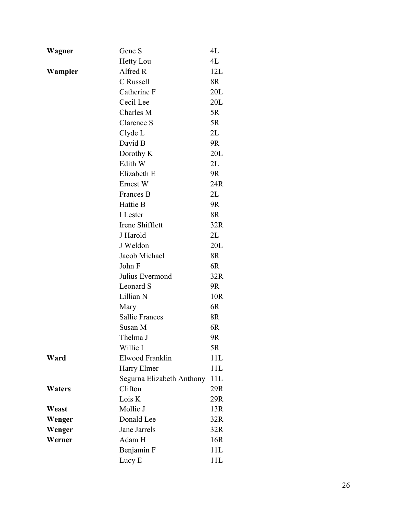| Wagner        | Gene S                    | 4L  |
|---------------|---------------------------|-----|
|               | <b>Hetty Lou</b>          | 4L  |
| Wampler       | Alfred R                  | 12L |
|               | C Russell                 | 8R  |
|               | Catherine F               | 20L |
|               | Cecil Lee                 | 20L |
|               | Charles M                 | 5R  |
|               | Clarence S                | 5R  |
|               | Clyde L                   | 2L  |
|               | David B                   | 9R  |
|               | Dorothy K                 | 20L |
|               | Edith W                   | 2L  |
|               | Elizabeth E               | 9R  |
|               | Ernest W                  | 24R |
|               | Frances B                 | 2L  |
|               | Hattie B                  | 9R  |
|               | I Lester                  | 8R  |
|               | Irene Shifflett           | 32R |
|               | J Harold                  | 2L  |
|               | J Weldon                  | 20L |
|               | Jacob Michael             | 8R  |
|               | John F                    | 6R  |
|               | Julius Evermond           | 32R |
|               | Leonard S                 | 9R  |
|               | Lillian N                 | 10R |
|               | Mary                      | 6R  |
|               | <b>Sallie Frances</b>     | 8R  |
|               | Susan M                   | 6R  |
|               | Thelma J                  | 9R  |
|               | Willie I                  | 5R  |
| Ward          | Elwood Franklin           | 11L |
|               | Harry Elmer               | 11L |
|               | Segurna Elizabeth Anthony | 11L |
| <b>Waters</b> | Clifton                   | 29R |
|               | Lois K                    | 29R |
| Weast         | Mollie J                  | 13R |
| Wenger        | Donald Lee                | 32R |
| Wenger        | Jane Jarrels              | 32R |
| Werner        | Adam H                    | 16R |
|               | Benjamin F                | 11L |
|               | Lucy E                    | 11L |